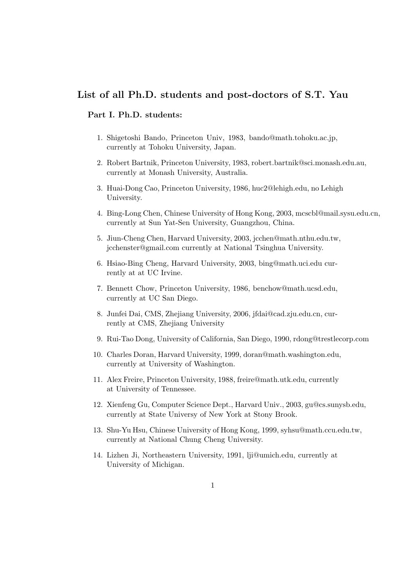# List of all Ph.D. students and post-doctors of S.T. Yau

### Part I. Ph.D. students:

- 1. Shigetoshi Bando, Princeton Univ, 1983, bando@math.tohoku.ac.jp, currently at Tohoku University, Japan.
- 2. Robert Bartnik, Princeton University, 1983, robert.bartnik@sci.monash.edu.au, currently at Monash University, Australia.
- 3. Huai-Dong Cao, Princeton University, 1986, huc2@lehigh.edu, no Lehigh University.
- 4. Bing-Long Chen, Chinese University of Hong Kong, 2003, mcscbl@mail.sysu.edu.cn, currently at Sun Yat-Sen University, Guangzhou, China.
- 5. Jiun-Cheng Chen, Harvard University, 2003, jcchen@math.nthu.edu.tw, jcchenster@gmail.com currently at National Tsinghua University.
- 6. Hsiao-Bing Cheng, Harvard University, 2003, bing@math.uci.edu currently at at UC Irvine.
- 7. Bennett Chow, Princeton University, 1986, benchow@math.ucsd.edu, currently at UC San Diego.
- 8. Junfei Dai, CMS, Zhejiang University, 2006, jfdai@cad.zju.edu.cn, currently at CMS, Zhejiang University
- 9. Rui-Tao Dong, University of California, San Diego, 1990, rdong@trestlecorp.com
- 10. Charles Doran, Harvard University, 1999, doran@math.washington.edu, currently at University of Washington.
- 11. Alex Freire, Princeton University, 1988, freire@math.utk.edu, currently at University of Tennessee.
- 12. Xienfeng Gu, Computer Science Dept., Harvard Univ., 2003, gu@cs.sunysb.edu, currently at State Universy of New York at Stony Brook.
- 13. Shu-Yu Hsu, Chinese University of Hong Kong, 1999, syhsu@math.ccu.edu.tw, currently at National Chung Cheng University.
- 14. Lizhen Ji, Northeastern University, 1991, lji@umich.edu, currently at University of Michigan.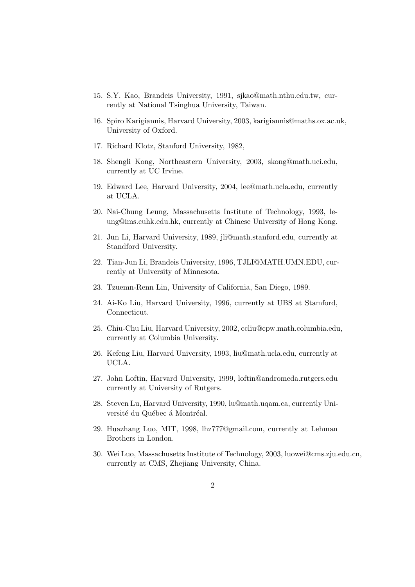- 15. S.Y. Kao, Brandeis University, 1991, sjkao@math.nthu.edu.tw, currently at National Tsinghua University, Taiwan.
- 16. Spiro Karigiannis, Harvard University, 2003, karigiannis@maths.ox.ac.uk, University of Oxford.
- 17. Richard Klotz, Stanford University, 1982,
- 18. Shengli Kong, Northeastern University, 2003, skong@math.uci.edu, currently at UC Irvine.
- 19. Edward Lee, Harvard University, 2004, lee@math.ucla.edu, currently at UCLA.
- 20. Nai-Chung Leung, Massachusetts Institute of Technology, 1993, leung@ims.cuhk.edu.hk, currently at Chinese University of Hong Kong.
- 21. Jun Li, Harvard University, 1989, jli@math.stanford.edu, currently at Standford University.
- 22. Tian-Jun Li, Brandeis University, 1996, TJLI@MATH.UMN.EDU, currently at University of Minnesota.
- 23. Tzuemn-Renn Lin, University of California, San Diego, 1989.
- 24. Ai-Ko Liu, Harvard University, 1996, currently at UBS at Stamford, Connecticut.
- 25. Chiu-Chu Liu, Harvard University, 2002, ccliu@cpw.math.columbia.edu, currently at Columbia University.
- 26. Kefeng Liu, Harvard University, 1993, liu@math.ucla.edu, currently at UCLA.
- 27. John Loftin, Harvard University, 1999, loftin@andromeda.rutgers.edu currently at University of Rutgers.
- 28. Steven Lu, Harvard University, 1990, lu@math.uqam.ca, currently Université du Québec á Montréal.
- 29. Huazhang Luo, MIT, 1998, lhz777@gmail.com, currently at Lehman Brothers in London.
- 30. Wei Luo, Massachusetts Institute of Technology, 2003, luowei@cms.zju.edu.cn, currently at CMS, Zhejiang University, China.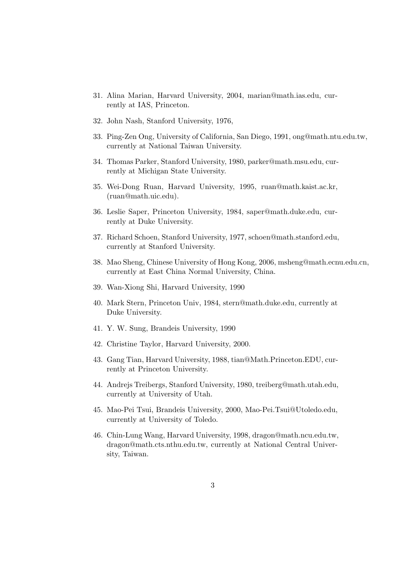- 31. Alina Marian, Harvard University, 2004, marian@math.ias.edu, currently at IAS, Princeton.
- 32. John Nash, Stanford University, 1976,
- 33. Ping-Zen Ong, University of California, San Diego, 1991, ong@math.ntu.edu.tw, currently at National Taiwan University.
- 34. Thomas Parker, Stanford University, 1980, parker@math.msu.edu, currently at Michigan State University.
- 35. Wei-Dong Ruan, Harvard University, 1995, ruan@math.kaist.ac.kr, (ruan@math.uic.edu).
- 36. Leslie Saper, Princeton University, 1984, saper@math.duke.edu, currently at Duke University.
- 37. Richard Schoen, Stanford University, 1977, schoen@math.stanford.edu, currently at Stanford University.
- 38. Mao Sheng, Chinese University of Hong Kong, 2006, msheng@math.ecnu.edu.cn, currently at East China Normal University, China.
- 39. Wan-Xiong Shi, Harvard University, 1990
- 40. Mark Stern, Princeton Univ, 1984, stern@math.duke.edu, currently at Duke University.
- 41. Y. W. Sung, Brandeis University, 1990
- 42. Christine Taylor, Harvard University, 2000.
- 43. Gang Tian, Harvard University, 1988, tian@Math.Princeton.EDU, currently at Princeton University.
- 44. Andrejs Treibergs, Stanford University, 1980, treiberg@math.utah.edu, currently at University of Utah.
- 45. Mao-Pei Tsui, Brandeis University, 2000, Mao-Pei.Tsui@Utoledo.edu, currently at University of Toledo.
- 46. Chin-Lung Wang, Harvard University, 1998, dragon@math.ncu.edu.tw, dragon@math.cts.nthu.edu.tw, currently at National Central University, Taiwan.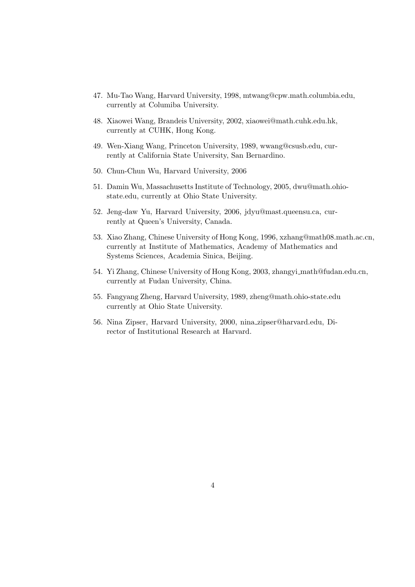- 47. Mu-Tao Wang, Harvard University, 1998, mtwang@cpw.math.columbia.edu, currently at Columiba University.
- 48. Xiaowei Wang, Brandeis University, 2002, xiaowei@math.cuhk.edu.hk, currently at CUHK, Hong Kong.
- 49. Wen-Xiang Wang, Princeton University, 1989, wwang@csusb.edu, currently at California State University, San Bernardino.
- 50. Chun-Chun Wu, Harvard University, 2006
- 51. Damin Wu, Massachusetts Institute of Technology, 2005, dwu@math.ohiostate.edu, currently at Ohio State University.
- 52. Jeng-daw Yu, Harvard University, 2006, jdyu@mast.queensu.ca, currently at Queen's University, Canada.
- 53. Xiao Zhang, Chinese University of Hong Kong, 1996, xzhang@math08.math.ac.cn, currently at Institute of Mathematics, Academy of Mathematics and Systems Sciences, Academia Sinica, Beijing.
- 54. Yi Zhang, Chinese University of Hong Kong, 2003, zhangyi math@fudan.edu.cn, currently at Fudan University, China.
- 55. Fangyang Zheng, Harvard University, 1989, zheng@math.ohio-state.edu currently at Ohio State University.
- 56. Nina Zipser, Harvard University, 2000, nina zipser@harvard.edu, Director of Institutional Research at Harvard.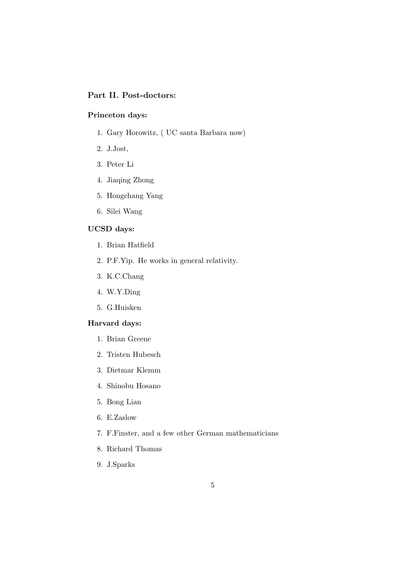## Part II. Post-doctors:

#### Princeton days:

- 1. Gary Horowitz, ( UC santa Barbara now)
- 2. J.Jost,
- 3. Peter Li
- 4. Jiaqing Zhong
- 5. Hongchang Yang
- 6. Silei Wang

#### UCSD days:

- 1. Brian Hatfield
- 2. P.F.Yip. He works in general relativity.
- 3. K.C.Chang
- 4. W.Y.Ding
- 5. G.Huisken

#### Harvard days:

- 1. Brian Greene
- 2. Tristen Hubesch
- 3. Dietmar Klemm
- 4. Shinobu Hosano
- 5. Bong Lian
- 6. E.Zaslow
- 7. F.Finster, and a few other German mathematicians
- 8. Richard Thomas
- 9. J.Sparks